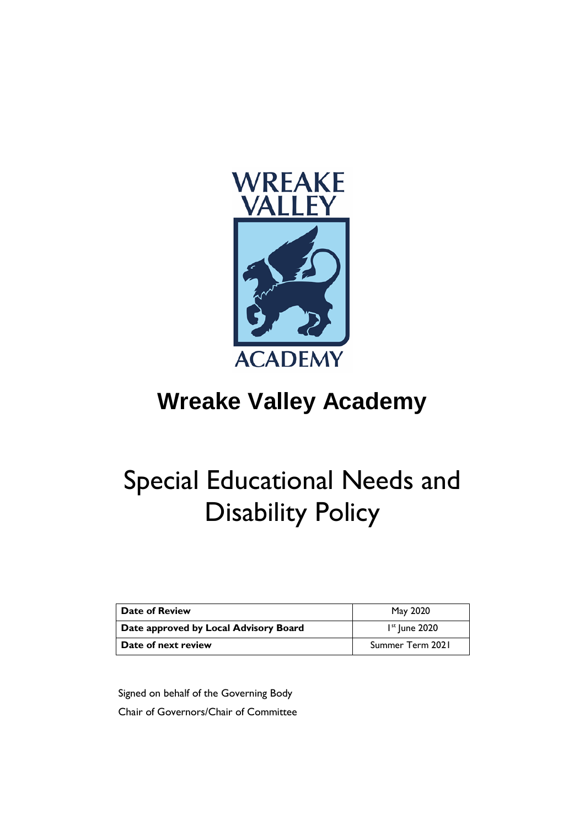

## **Wreake Valley Academy**

# Special Educational Needs and Disability Policy

| <b>Date of Review</b>                 | May 2020         |
|---------------------------------------|------------------|
| Date approved by Local Advisory Board | $Ist$ June 2020  |
| Date of next review                   | Summer Term 2021 |

 Signed on behalf of the Governing Body Chair of Governors/Chair of Committee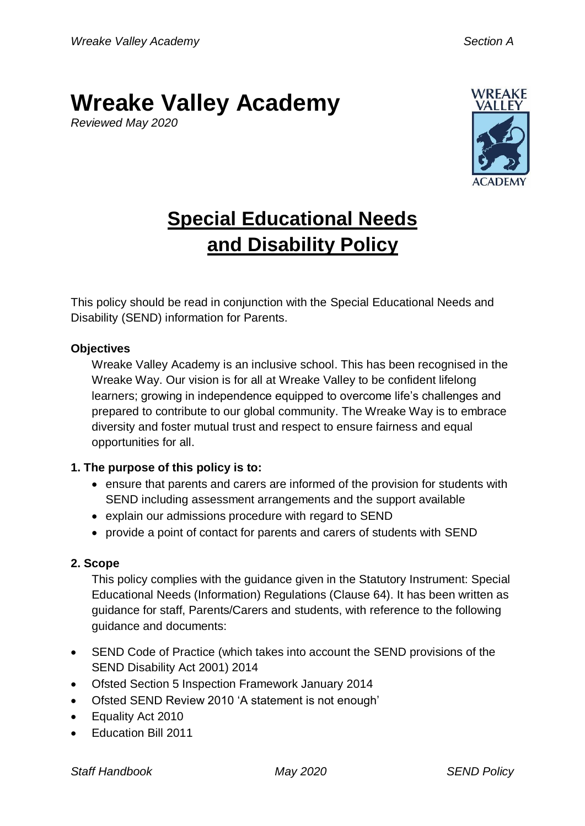### **Wreake Valley Academy**

*Reviewed May 2020*



### **Special Educational Needs and Disability Policy**

This policy should be read in conjunction with the Special Educational Needs and Disability (SEND) information for Parents.

#### **Objectives**

Wreake Valley Academy is an inclusive school. This has been recognised in the Wreake Way. Our vision is for all at Wreake Valley to be confident lifelong learners; growing in independence equipped to overcome life's challenges and prepared to contribute to our global community. The Wreake Way is to embrace diversity and foster mutual trust and respect to ensure fairness and equal opportunities for all.

#### **1. The purpose of this policy is to:**

- ensure that parents and carers are informed of the provision for students with SEND including assessment arrangements and the support available
- explain our admissions procedure with regard to SEND
- provide a point of contact for parents and carers of students with SEND

#### **2. Scope**

This policy complies with the guidance given in the Statutory Instrument: Special Educational Needs (Information) Regulations (Clause 64). It has been written as guidance for staff, Parents/Carers and students, with reference to the following guidance and documents:

- SEND Code of Practice (which takes into account the SEND provisions of the SEND Disability Act 2001) 2014
- Ofsted Section 5 Inspection Framework January 2014
- Ofsted SEND Review 2010 'A statement is not enough'
- Equality Act 2010
- Education Bill 2011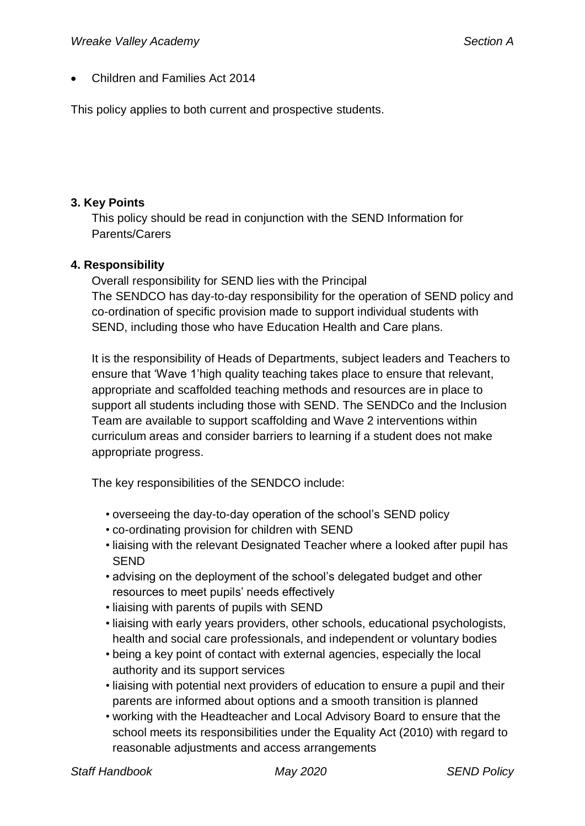Children and Families Act 2014

This policy applies to both current and prospective students.

#### **3. Key Points**

This policy should be read in conjunction with the SEND Information for Parents/Carers

#### **4. Responsibility**

Overall responsibility for SEND lies with the Principal The SENDCO has day-to-day responsibility for the operation of SEND policy and co-ordination of specific provision made to support individual students with SEND, including those who have Education Health and Care plans.

It is the responsibility of Heads of Departments, subject leaders and Teachers to ensure that 'Wave 1'high quality teaching takes place to ensure that relevant, appropriate and scaffolded teaching methods and resources are in place to support all students including those with SEND. The SENDCo and the Inclusion Team are available to support scaffolding and Wave 2 interventions within curriculum areas and consider barriers to learning if a student does not make appropriate progress.

The key responsibilities of the SENDCO include:

- overseeing the day-to-day operation of the school's SEND policy
- co-ordinating provision for children with SEND
- liaising with the relevant Designated Teacher where a looked after pupil has **SEND**
- advising on the deployment of the school's delegated budget and other resources to meet pupils' needs effectively
- liaising with parents of pupils with SEND
- liaising with early years providers, other schools, educational psychologists, health and social care professionals, and independent or voluntary bodies
- being a key point of contact with external agencies, especially the local authority and its support services
- liaising with potential next providers of education to ensure a pupil and their parents are informed about options and a smooth transition is planned
- working with the Headteacher and Local Advisory Board to ensure that the school meets its responsibilities under the Equality Act (2010) with regard to reasonable adjustments and access arrangements